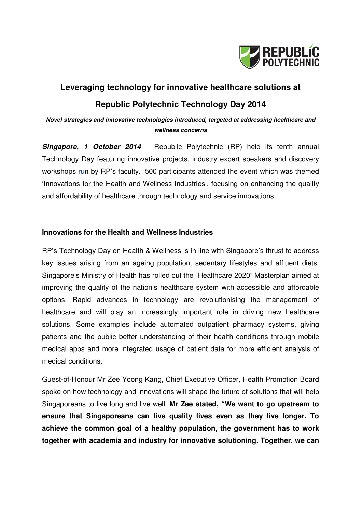

# **Leveraging technology for innovative healthcare solutions at Republic Polytechnic Technology Day 2014**

# **Novel strategies and innovative technologies introduced, targeted at addressing healthcare and wellness concerns**

**Singapore, 1 October 2014** – Republic Polytechnic (RP) held its tenth annual Technology Day featuring innovative projects, industry expert speakers and discovery workshops run by RP's faculty. 500 participants attended the event which was themed 'Innovations for the Health and Wellness Industries', focusing on enhancing the quality and affordability of healthcare through technology and service innovations.

## **Innovations for the Health and Wellness Industries**

RP's Technology Day on Health & Wellness is in line with Singapore's thrust to address key issues arising from an ageing population, sedentary lifestyles and affluent diets. Singapore's Ministry of Health has rolled out the "Healthcare 2020" Masterplan aimed at improving the quality of the nation's healthcare system with accessible and affordable options. Rapid advances in technology are revolutionising the management of healthcare and will play an increasingly important role in driving new healthcare solutions. Some examples include automated outpatient pharmacy systems, giving patients and the public better understanding of their health conditions through mobile medical apps and more integrated usage of patient data for more efficient analysis of medical conditions.

Guest-of-Honour Mr Zee Yoong Kang, Chief Executive Officer, Health Promotion Board spoke on how technology and innovations will shape the future of solutions that will help Singaporeans to live long and live well. **Mr Zee stated, "We want to go upstream to ensure that Singaporeans can live quality lives even as they live longer. To achieve the common goal of a healthy population, the government has to work together with academia and industry for innovative solutioning. Together, we can**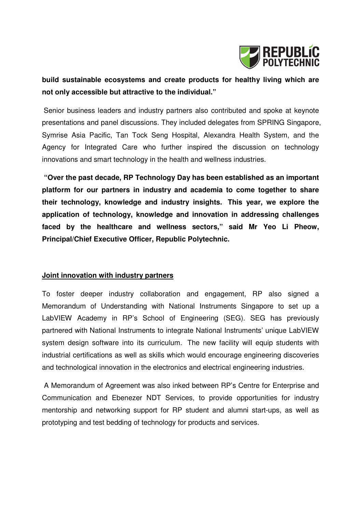

# **build sustainable ecosystems and create products for healthy living which are not only accessible but attractive to the individual."**

Senior business leaders and industry partners also contributed and spoke at keynote presentations and panel discussions. They included delegates from SPRING Singapore, Symrise Asia Pacific, Tan Tock Seng Hospital, Alexandra Health System, and the Agency for Integrated Care who further inspired the discussion on technology innovations and smart technology in the health and wellness industries.

**"Over the past decade, RP Technology Day has been established as an important platform for our partners in industry and academia to come together to share their technology, knowledge and industry insights. This year, we explore the application of technology, knowledge and innovation in addressing challenges faced by the healthcare and wellness sectors," said Mr Yeo Li Pheow, Principal/Chief Executive Officer, Republic Polytechnic.**

#### **Joint innovation with industry partners**

To foster deeper industry collaboration and engagement, RP also signed a Memorandum of Understanding with National Instruments Singapore to set up a LabVIEW Academy in RP's School of Engineering (SEG). SEG has previously partnered with National Instruments to integrate National Instruments' unique LabVIEW system design software into its curriculum. The new facility will equip students with industrial certifications as well as skills which would encourage engineering discoveries and technological innovation in the electronics and electrical engineering industries.

 A Memorandum of Agreement was also inked between RP's Centre for Enterprise and Communication and Ebenezer NDT Services, to provide opportunities for industry mentorship and networking support for RP student and alumni start-ups, as well as prototyping and test bedding of technology for products and services.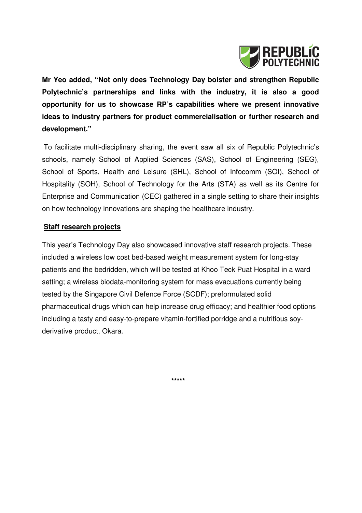

**Mr Yeo added, "Not only does Technology Day bolster and strengthen Republic Polytechnic's partnerships and links with the industry, it is also a good opportunity for us to showcase RP's capabilities where we present innovative ideas to industry partners for product commercialisation or further research and development."** 

To facilitate multi-disciplinary sharing, the event saw all six of Republic Polytechnic's schools, namely School of Applied Sciences (SAS), School of Engineering (SEG), School of Sports, Health and Leisure (SHL), School of Infocomm (SOI), School of Hospitality (SOH), School of Technology for the Arts (STA) as well as its Centre for Enterprise and Communication (CEC) gathered in a single setting to share their insights on how technology innovations are shaping the healthcare industry.

## **Staff research projects**

This year's Technology Day also showcased innovative staff research projects. These included a wireless low cost bed-based weight measurement system for long-stay patients and the bedridden, which will be tested at Khoo Teck Puat Hospital in a ward setting; a wireless biodata-monitoring system for mass evacuations currently being tested by the Singapore Civil Defence Force (SCDF); preformulated solid pharmaceutical drugs which can help increase drug efficacy; and healthier food options including a tasty and easy-to-prepare vitamin-fortified porridge and a nutritious soyderivative product, Okara.

 **\*\*\*\*\***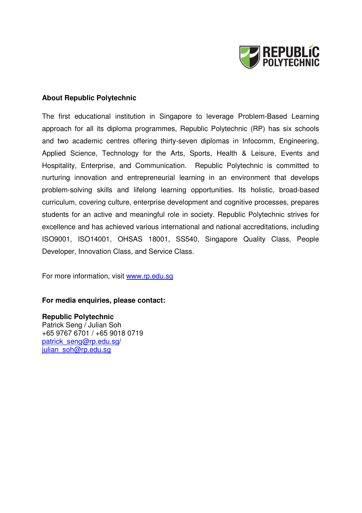

#### **About Republic Polytechnic**

The first educational institution in Singapore to leverage Problem-Based Learning approach for all its diploma programmes, Republic Polytechnic (RP) has six schools and two academic centres offering thirty-seven diplomas in Infocomm, Engineering, Applied Science, Technology for the Arts, Sports, Health & Leisure, Events and Hospitality, Enterprise, and Communication. Republic Polytechnic is committed to nurturing innovation and entrepreneurial learning in an environment that develops problem-solving skills and lifelong learning opportunities. Its holistic, broad-based curriculum, covering culture, enterprise development and cognitive processes, prepares students for an active and meaningful role in society. Republic Polytechnic strives for excellence and has achieved various international and national accreditations, including ISO9001, ISO14001, OHSAS 18001, SS540, Singapore Quality Class, People Developer, Innovation Class, and Service Class.

For more information, visit www.rp.edu.sg

#### **For media enquiries, please contact:**

**Republic Polytechnic**  Patrick Seng / Julian Soh +65 9767 6701 / +65 9018 0719 patrick\_seng@rp.edu.sg/ julian\_soh@rp.edu.sg